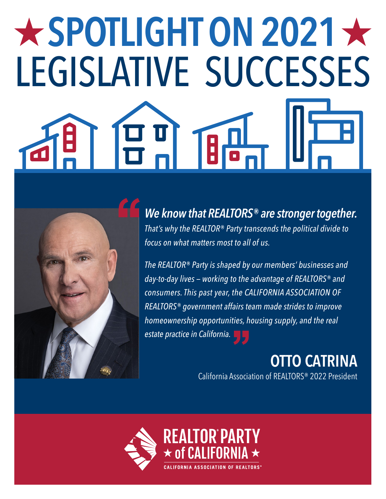# $\bigstar$  SPOTLIGHT ON 2021  $\bigstar$ LEGISLATIVE SUCCESSES



*We know that REALTORS® are stronger together. That's why the REALTOR® Party transcends the political divide to focus on what matters most to all of us.*

*The REALTOR® Party is shaped by our members' businesses and day-to-day lives — working to the advantage of REALTORS® and consumers. This past year, the CALIFORNIA ASSOCIATION OF REALTORS® government affairs team made strides to improve homeownership opportunities, housing supply, and the real estate practice in California.*

**OTTO CATRINA** 

California Association of REALTORS® 2022 President

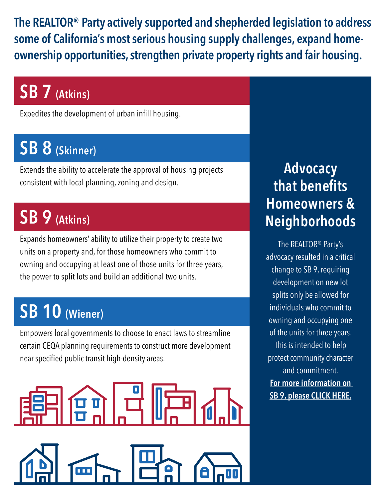**The REALTOR® Party actively supported and shepherded legislation to address some of California's most serious housing supply challenges, expand homeownership opportunities, strengthen private property rights and fair housing.**

## **SB 7 (Atkins)**

Expedites the development of urban infill housing.

## **SB 8 (Skinner)**

Extends the ability to accelerate the approval of housing projects consistent with local planning, zoning and design.

## **SB 9 (Atkins)**

Expands homeowners' ability to utilize their property to create two units on a property and, for those homeowners who commit to owning and occupying at least one of those units for three years, the power to split lots and build an additional two units.

## **SB 10 (Wiener)**

Empowers local governments to choose to enact laws to streamline certain CEQA planning requirements to construct more development near specified public transit high-density areas.



#### **Advocacy that benefits Homeowners & Neighborhoods**

The REALTOR® Party's advocacy resulted in a critical change to SB 9, requiring development on new lot splits only be allowed for individuals who commit to owning and occupying one of the units for three years. This is intended to help protect community character and commitment. **[For more information on](https://www.car.org/login?returnUrl=%2Friskmanagement%2Fqa%2Fmiscellaneous-folder%2FSB9)  [SB 9, please CLICK HERE.](https://www.car.org/login?returnUrl=%2Friskmanagement%2Fqa%2Fmiscellaneous-folder%2FSB9)**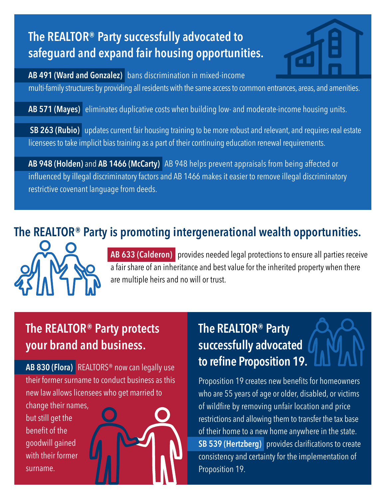#### **The REALTOR® Party successfully advocated to safeguard and expand fair housing opportunities.**



**AB 491 (Ward and Gonzalez)** bans discrimination in mixed-income multi-family structures by providing all residents with the same access to common entrances, areas, and amenities.

**AB 571 (Mayes)** eliminates duplicative costs when building low- and moderate-income housing units.

**SB 263 (Rubio)** updates current fair housing training to be more robust and relevant, and requires real estate licensees to take implicit bias training as a part of their continuing education renewal requirements.

**AB 948 (Holden)** and **AB 1466 (McCarty)** AB 948 helps prevent appraisals from being affected or influenced by illegal discriminatory factors and AB 1466 makes it easier to remove illegal discriminatory restrictive covenant language from deeds.

#### **The REALTOR® Party is promoting intergenerational wealth opportunities.**



**AB 633 (Calderon)** provides needed legal protections to ensure all parties receive a fair share of an inheritance and best value for the inherited property when there are multiple heirs and no will or trust.

#### **The REALTOR® Party protects your brand and business.**

**AB 830 (Flora)** REALTORS® now can legally use their former surname to conduct business as this new law allows licensees who get married to

change their names, but still get the benefit of the goodwill gained with their former surname.

#### **The REALTOR® Party successfully advocated to refine Proposition 19.**

Proposition 19 creates new benefits for homeowners who are 55 years of age or older, disabled, or victims of wildfire by removing unfair location and price restrictions and allowing them to transfer the tax base of their home to a new home anywhere in the state. **SB 539 (Hertzberg)** provides clarifications to create consistency and certainty for the implementation of Proposition 19.